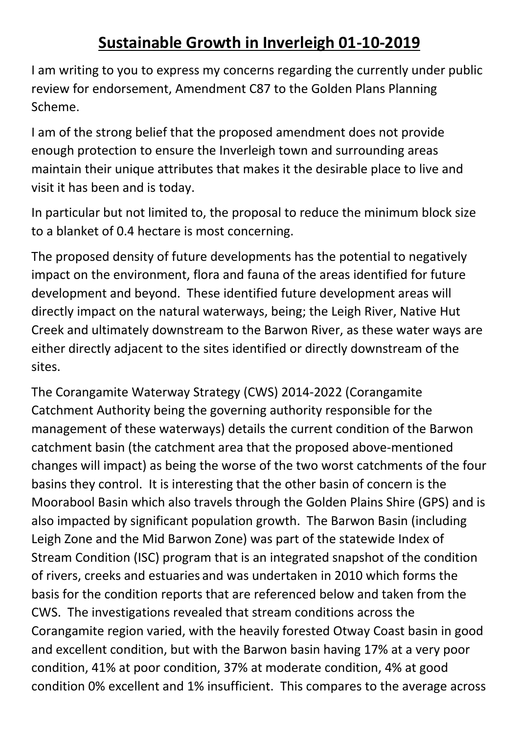## **Sustainable Growth in Inverleigh 01-10-2019**

I am writing to you to express my concerns regarding the currently under public review for endorsement, Amendment C87 to the Golden Plans Planning Scheme.

I am of the strong belief that the proposed amendment does not provide enough protection to ensure the Inverleigh town and surrounding areas maintain their unique attributes that makes it the desirable place to live and visit it has been and is today.

In particular but not limited to, the proposal to reduce the minimum block size to a blanket of 0.4 hectare is most concerning.

The proposed density of future developments has the potential to negatively impact on the environment, flora and fauna of the areas identified for future development and beyond. These identified future development areas will directly impact on the natural waterways, being; the Leigh River, Native Hut Creek and ultimately downstream to the Barwon River, as these water ways are either directly adjacent to the sites identified or directly downstream of the sites.

The Corangamite Waterway Strategy (CWS) 2014-2022 (Corangamite Catchment Authority being the governing authority responsible for the management of these waterways) details the current condition of the Barwon catchment basin (the catchment area that the proposed above-mentioned changes will impact) as being the worse of the two worst catchments of the four basins they control. It is interesting that the other basin of concern is the Moorabool Basin which also travels through the Golden Plains Shire (GPS) and is also impacted by significant population growth. The Barwon Basin (including Leigh Zone and the Mid Barwon Zone) was part of the statewide Index of Stream Condition (ISC) program that is an integrated snapshot of the condition of rivers, creeks and estuaries and was undertaken in 2010 which forms the basis for the condition reports that are referenced below and taken from the CWS. The investigations revealed that stream conditions across the Corangamite region varied, with the heavily forested Otway Coast basin in good and excellent condition, but with the Barwon basin having 17% at a very poor condition, 41% at poor condition, 37% at moderate condition, 4% at good condition 0% excellent and 1% insufficient. This compares to the average across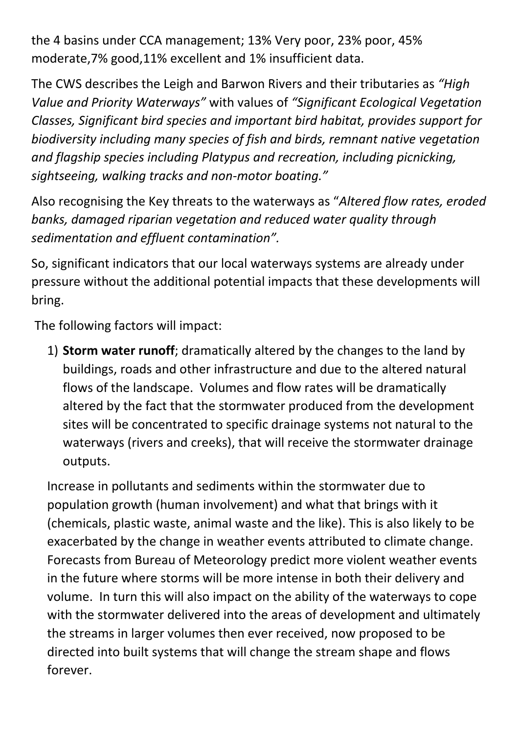the 4 basins under CCA management; 13% Very poor, 23% poor, 45% moderate,7% good,11% excellent and 1% insufficient data.

The CWS describes the Leigh and Barwon Rivers and their tributaries as *"High Value and Priority Waterways"* with values of *"Significant Ecological Vegetation Classes, Significant bird species and important bird habitat, provides support for biodiversity including many species of fish and birds, remnant native vegetation and flagship species including Platypus and recreation, including picnicking, sightseeing, walking tracks and non-motor boating."*

Also recognising the Key threats to the waterways as "*Altered flow rates, eroded banks, damaged riparian vegetation and reduced water quality through sedimentation and effluent contamination".* 

So, significant indicators that our local waterways systems are already under pressure without the additional potential impacts that these developments will bring.

The following factors will impact:

1) **Storm water runoff**; dramatically altered by the changes to the land by buildings, roads and other infrastructure and due to the altered natural flows of the landscape. Volumes and flow rates will be dramatically altered by the fact that the stormwater produced from the development sites will be concentrated to specific drainage systems not natural to the waterways (rivers and creeks), that will receive the stormwater drainage outputs.

Increase in pollutants and sediments within the stormwater due to population growth (human involvement) and what that brings with it (chemicals, plastic waste, animal waste and the like). This is also likely to be exacerbated by the change in weather events attributed to climate change. Forecasts from Bureau of Meteorology predict more violent weather events in the future where storms will be more intense in both their delivery and volume. In turn this will also impact on the ability of the waterways to cope with the stormwater delivered into the areas of development and ultimately the streams in larger volumes then ever received, now proposed to be directed into built systems that will change the stream shape and flows forever.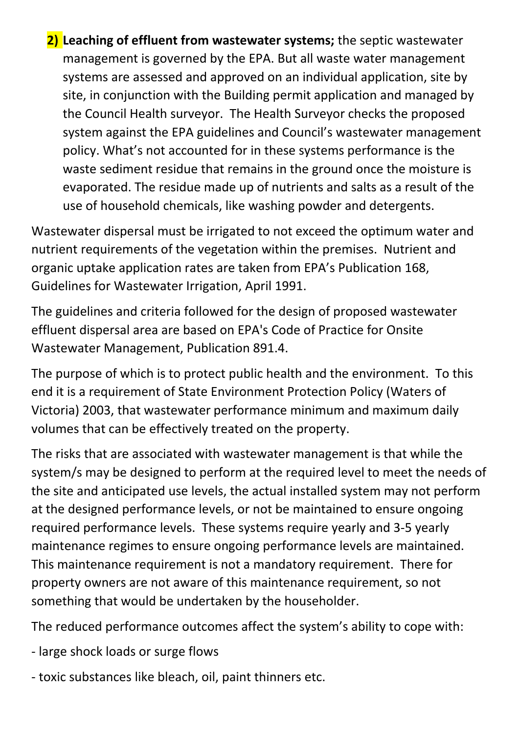**2) Leaching of effluent from wastewater systems;** the septic wastewater management is governed by the EPA. But all waste water management systems are assessed and approved on an individual application, site by site, in conjunction with the Building permit application and managed by the Council Health surveyor. The Health Surveyor checks the proposed system against the EPA guidelines and Council's wastewater management policy. What's not accounted for in these systems performance is the waste sediment residue that remains in the ground once the moisture is evaporated. The residue made up of nutrients and salts as a result of the use of household chemicals, like washing powder and detergents.

Wastewater dispersal must be irrigated to not exceed the optimum water and nutrient requirements of the vegetation within the premises. Nutrient and organic uptake application rates are taken from EPA's Publication 168, Guidelines for Wastewater Irrigation, April 1991.

The guidelines and criteria followed for the design of proposed wastewater effluent dispersal area are based on EPA's Code of Practice for Onsite Wastewater Management, Publication 891.4.

The purpose of which is to protect public health and the environment. To this end it is a requirement of State Environment Protection Policy (Waters of Victoria) 2003, that wastewater performance minimum and maximum daily volumes that can be effectively treated on the property.

The risks that are associated with wastewater management is that while the system/s may be designed to perform at the required level to meet the needs of the site and anticipated use levels, the actual installed system may not perform at the designed performance levels, or not be maintained to ensure ongoing required performance levels. These systems require yearly and 3-5 yearly maintenance regimes to ensure ongoing performance levels are maintained. This maintenance requirement is not a mandatory requirement. There for property owners are not aware of this maintenance requirement, so not something that would be undertaken by the householder.

The reduced performance outcomes affect the system's ability to cope with:

- large shock loads or surge flows
- toxic substances like bleach, oil, paint thinners etc.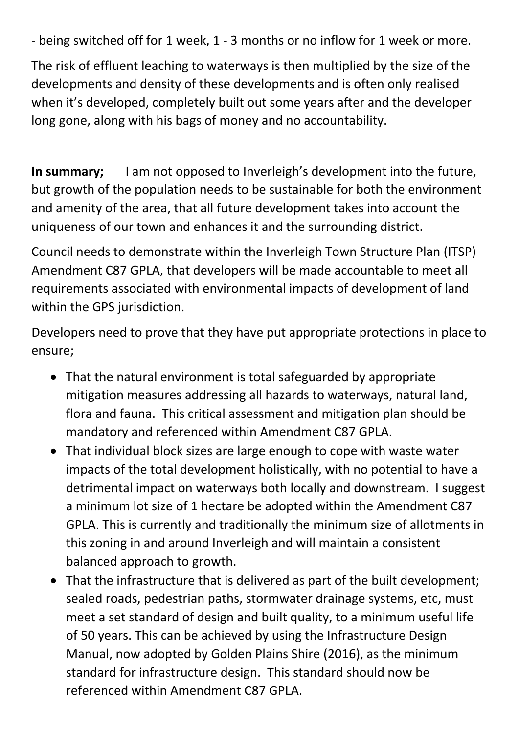- being switched off for 1 week, 1 - 3 months or no inflow for 1 week or more.

The risk of effluent leaching to waterways is then multiplied by the size of the developments and density of these developments and is often only realised when it's developed, completely built out some years after and the developer long gone, along with his bags of money and no accountability.

**In summary;** I am not opposed to Inverleigh's development into the future, but growth of the population needs to be sustainable for both the environment and amenity of the area, that all future development takes into account the uniqueness of our town and enhances it and the surrounding district.

Council needs to demonstrate within the Inverleigh Town Structure Plan (ITSP) Amendment C87 GPLA, that developers will be made accountable to meet all requirements associated with environmental impacts of development of land within the GPS jurisdiction.

Developers need to prove that they have put appropriate protections in place to ensure;

- That the natural environment is total safeguarded by appropriate mitigation measures addressing all hazards to waterways, natural land, flora and fauna. This critical assessment and mitigation plan should be mandatory and referenced within Amendment C87 GPLA.
- That individual block sizes are large enough to cope with waste water impacts of the total development holistically, with no potential to have a detrimental impact on waterways both locally and downstream. I suggest a minimum lot size of 1 hectare be adopted within the Amendment C87 GPLA. This is currently and traditionally the minimum size of allotments in this zoning in and around Inverleigh and will maintain a consistent balanced approach to growth.
- That the infrastructure that is delivered as part of the built development; sealed roads, pedestrian paths, stormwater drainage systems, etc, must meet a set standard of design and built quality, to a minimum useful life of 50 years. This can be achieved by using the Infrastructure Design Manual, now adopted by Golden Plains Shire (2016), as the minimum standard for infrastructure design. This standard should now be referenced within Amendment C87 GPLA.